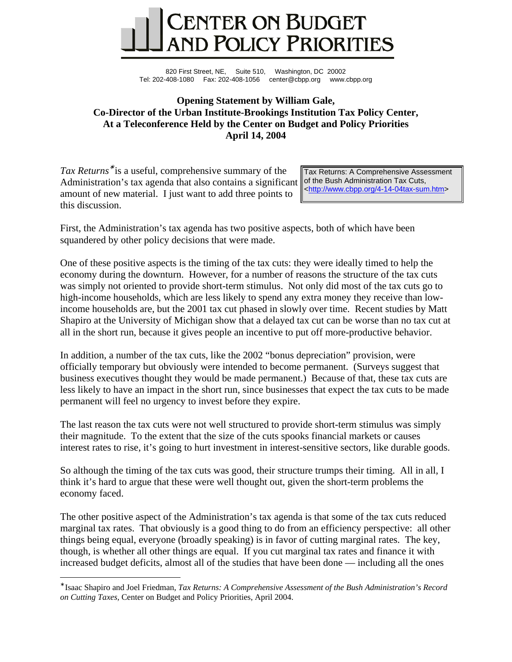

820 First Street, NE, Suite 510, Washington, DC 20002 Tel: 202-408-1080 Fax: 202-408-1056 center@cbpp.org www.cbpp.org

## **Opening Statement by William Gale, Co-Director of the Urban Institute-Brookings Institution Tax Policy Center, At a Teleconference Held by the Center on Budget and Policy Priorities April 14, 2004**

*Tax Returns*<sup>∗</sup> is a useful, comprehensive summary of the Administration's tax agenda that also contains a significant amount of new material. I just want to add three points to this discussion.

 $\overline{a}$ 

Tax Returns: A Comprehensive Assessment of the Bush Administration Tax Cuts, [<http://www.cbpp.org/4-14-04tax-sum.htm>](http://www.cbpp.org/4-14-04tax-sum.htm)

First, the Administration's tax agenda has two positive aspects, both of which have been squandered by other policy decisions that were made.

One of these positive aspects is the timing of the tax cuts: they were ideally timed to help the economy during the downturn. However, for a number of reasons the structure of the tax cuts was simply not oriented to provide short-term stimulus. Not only did most of the tax cuts go to high-income households, which are less likely to spend any extra money they receive than lowincome households are, but the 2001 tax cut phased in slowly over time. Recent studies by Matt Shapiro at the University of Michigan show that a delayed tax cut can be worse than no tax cut at all in the short run, because it gives people an incentive to put off more-productive behavior.

In addition, a number of the tax cuts, like the 2002 "bonus depreciation" provision, were officially temporary but obviously were intended to become permanent. (Surveys suggest that business executives thought they would be made permanent.) Because of that, these tax cuts are less likely to have an impact in the short run, since businesses that expect the tax cuts to be made permanent will feel no urgency to invest before they expire.

The last reason the tax cuts were not well structured to provide short-term stimulus was simply their magnitude. To the extent that the size of the cuts spooks financial markets or causes interest rates to rise, it's going to hurt investment in interest-sensitive sectors, like durable goods.

So although the timing of the tax cuts was good, their structure trumps their timing. All in all, I think it's hard to argue that these were well thought out, given the short-term problems the economy faced.

The other positive aspect of the Administration's tax agenda is that some of the tax cuts reduced marginal tax rates. That obviously is a good thing to do from an efficiency perspective: all other things being equal, everyone (broadly speaking) is in favor of cutting marginal rates. The key, though, is whether all other things are equal. If you cut marginal tax rates and finance it with increased budget deficits, almost all of the studies that have been done — including all the ones

<sup>∗</sup> Isaac Shapiro and Joel Friedman, *Tax Returns: A Comprehensive Assessment of the Bush Administration's Record on Cutting Taxes,* Center on Budget and Policy Priorities, April 2004.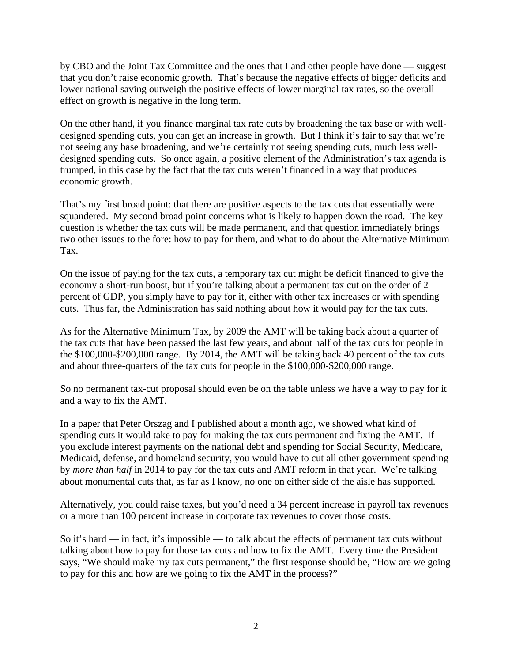by CBO and the Joint Tax Committee and the ones that I and other people have done — suggest that you don't raise economic growth. That's because the negative effects of bigger deficits and lower national saving outweigh the positive effects of lower marginal tax rates, so the overall effect on growth is negative in the long term.

On the other hand, if you finance marginal tax rate cuts by broadening the tax base or with welldesigned spending cuts, you can get an increase in growth. But I think it's fair to say that we're not seeing any base broadening, and we're certainly not seeing spending cuts, much less welldesigned spending cuts. So once again, a positive element of the Administration's tax agenda is trumped, in this case by the fact that the tax cuts weren't financed in a way that produces economic growth.

That's my first broad point: that there are positive aspects to the tax cuts that essentially were squandered. My second broad point concerns what is likely to happen down the road. The key question is whether the tax cuts will be made permanent, and that question immediately brings two other issues to the fore: how to pay for them, and what to do about the Alternative Minimum Tax.

On the issue of paying for the tax cuts, a temporary tax cut might be deficit financed to give the economy a short-run boost, but if you're talking about a permanent tax cut on the order of 2 percent of GDP, you simply have to pay for it, either with other tax increases or with spending cuts. Thus far, the Administration has said nothing about how it would pay for the tax cuts.

As for the Alternative Minimum Tax, by 2009 the AMT will be taking back about a quarter of the tax cuts that have been passed the last few years, and about half of the tax cuts for people in the \$100,000-\$200,000 range. By 2014, the AMT will be taking back 40 percent of the tax cuts and about three-quarters of the tax cuts for people in the \$100,000-\$200,000 range.

So no permanent tax-cut proposal should even be on the table unless we have a way to pay for it and a way to fix the AMT.

In a paper that Peter Orszag and I published about a month ago, we showed what kind of spending cuts it would take to pay for making the tax cuts permanent and fixing the AMT. If you exclude interest payments on the national debt and spending for Social Security, Medicare, Medicaid, defense, and homeland security, you would have to cut all other government spending by *more than half* in 2014 to pay for the tax cuts and AMT reform in that year. We're talking about monumental cuts that, as far as I know, no one on either side of the aisle has supported.

Alternatively, you could raise taxes, but you'd need a 34 percent increase in payroll tax revenues or a more than 100 percent increase in corporate tax revenues to cover those costs.

So it's hard — in fact, it's impossible — to talk about the effects of permanent tax cuts without talking about how to pay for those tax cuts and how to fix the AMT. Every time the President says, "We should make my tax cuts permanent," the first response should be, "How are we going to pay for this and how are we going to fix the AMT in the process?"